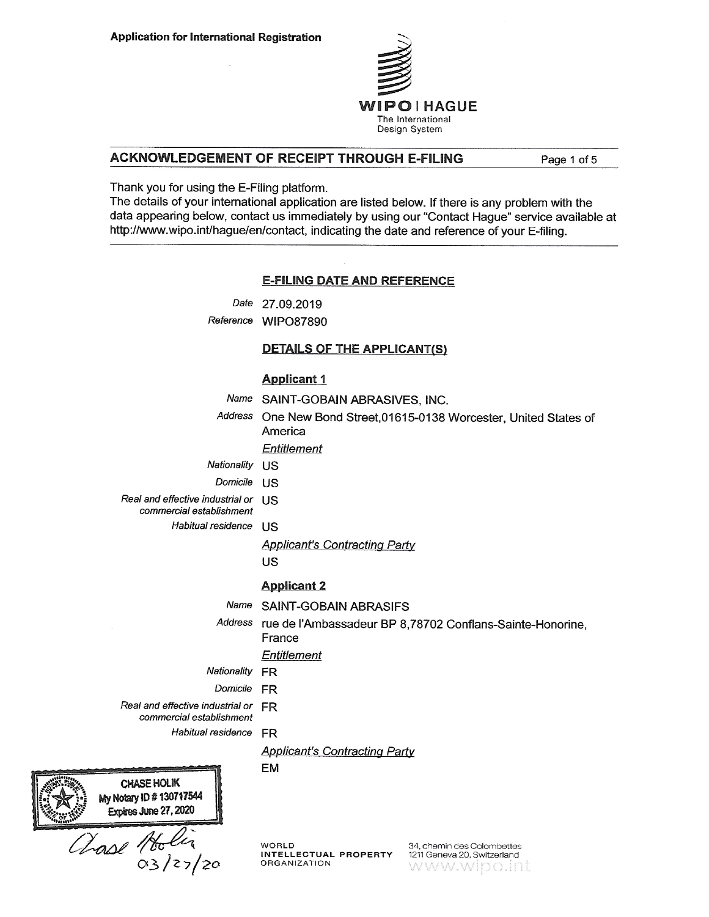

## ACKNOWLEDGEMENT OF RECEIPT THROUGH E-FILING

Page 1 of 5

Thank you for using the E-Filing platform.

The details of your international application are listed below. If there is any problem with the data appearing below, contact us immediately by using our "Contact Hague" service available at http://www.wipo.int/hague/en/contact, indicating the date and reference of your E-filing.

#### **E-FILING DATE AND REFERENCE**

Date 27.09.2019

Reference WIPO87890

#### **DETAILS OF THE APPLICANT(S)**

#### **Applicant 1**

- Name SAINT-GOBAIN ABRASIVES, INC.
- Address One New Bond Street, 01615-0138 Worcester, United States of America

Entitlement

- Nationality US
- Domicile US
- Real and effective industrial or **US** 
	- commercial establishment
		- Habitual residence US

**Applicant's Contracting Party** 

US

#### **Applicant 2**

Name SAINT-GOBAIN ABRASIFS

Address rue de l'Ambassadeur BP 8,78702 Conflans-Sainte-Honorine, France

#### **Entitlement**

- Nationality FR
	- Domicile FR

**EM** 

Real and effective industrial or FR

commercial establishment

Habitual residence FR

#### **Applicant's Contracting Party**

**CHASE HOLIK** My Notary ID # 130717544 Expires June 27, 2020

Chase Holia

**WORLD** INTELLECTUAL PROPERTY ORGANIZATION

34 chemin des Colombettes 1211 Geneva 20, Switzerland www.wipo.int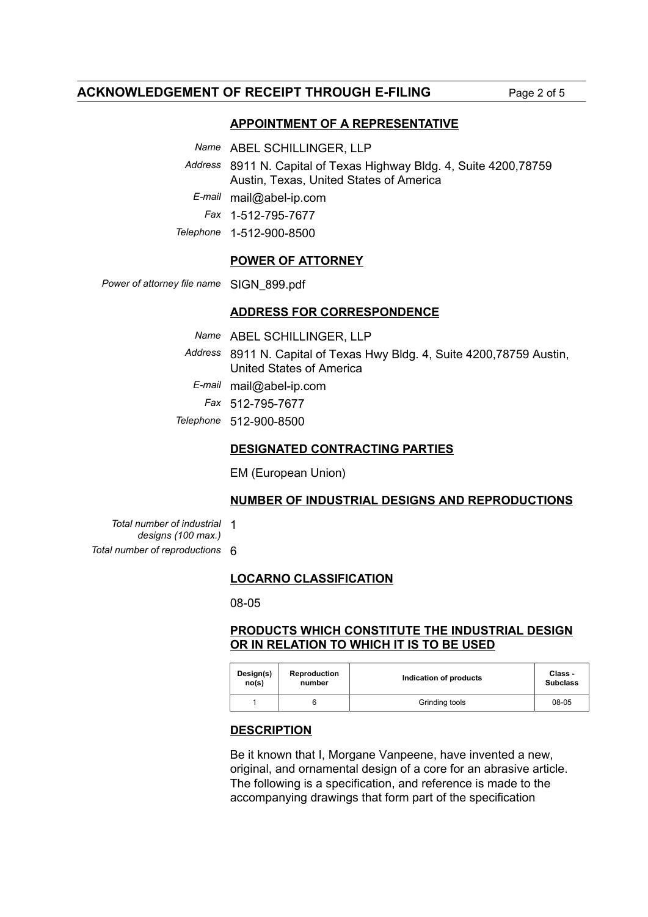# **ACKNOWLEDGEMENT OF RECEIPT THROUGH E-FILING** Page 2 of 5

# **APPOINTMENT OF A REPRESENTATIVE**

*Name* ABEL SCHILLINGER, LLP

*Address* 8911 N. Capital of Texas Highway Bldg. 4, Suite 4200,78759 Austin, Texas, United States of America

*E-mail* mail@abel-ip.com

*Fax* 1-512-795-7677

*Telephone* 1-512-900-8500

## **POWER OF ATTORNEY**

*Power of attorney file name* SIGN\_899.pdf

## **ADDRESS FOR CORRESPONDENCE**

| Name ABEL SCHILLINGER, LLP                                                                          |
|-----------------------------------------------------------------------------------------------------|
| Address 8911 N. Capital of Texas Hwy Bldg. 4, Suite 4200, 78759 Austin,<br>United States of America |
| E-mail mail@abel-ip.com                                                                             |
| Fax 512-795-7677                                                                                    |
| Telephone 512-900-8500                                                                              |

## **DESIGNATED CONTRACTING PARTIES**

EM (European Union)

## **NUMBER OF INDUSTRIAL DESIGNS AND REPRODUCTIONS**

*Total number of industrial* 1 *designs (100 max.) Total number of reproductions* 6

# **LOCARNO CLASSIFICATION**

08-05

# **PRODUCTS WHICH CONSTITUTE THE INDUSTRIAL DESIGN OR IN RELATION TO WHICH IT IS TO BE USED**

| Design(s) | <b>Reproduction</b> | Indication of products | Class -         |
|-----------|---------------------|------------------------|-----------------|
| no(s)     | number              |                        | <b>Subclass</b> |
|           |                     | Grinding tools         | 08-05           |

## **DESCRIPTION**

Be it known that I, Morgane Vanpeene, have invented a new, original, and ornamental design of a core for an abrasive article. The following is a specification, and reference is made to the accompanying drawings that form part of the specification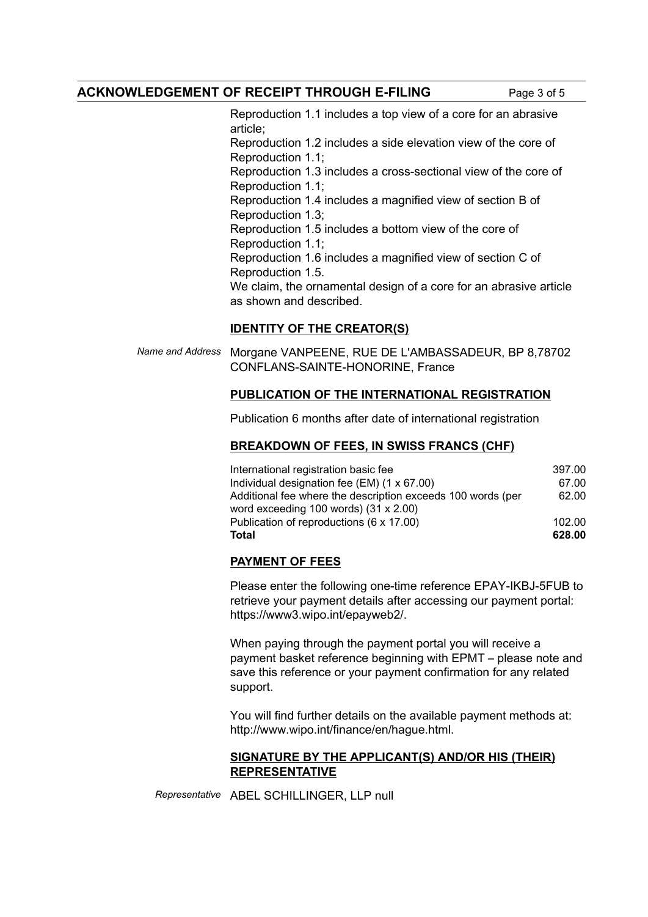Reproduction 1.1 includes a top view of a core for an abrasive article; Reproduction 1.2 includes a side elevation view of the core of Reproduction 1.1; Reproduction 1.3 includes a cross-sectional view of the core of Reproduction 1.1; Reproduction 1.4 includes a magnified view of section B of Reproduction 1.3; Reproduction 1.5 includes a bottom view of the core of Reproduction 1.1; Reproduction 1.6 includes a magnified view of section C of Reproduction 1.5. We claim, the ornamental design of a core for an abrasive article as shown and described.

# **IDENTITY OF THE CREATOR(S)**

*Name and Address* Morgane VANPEENE, RUE DE L'AMBASSADEUR, BP 8,78702 CONFLANS-SAINTE-HONORINE, France

# **PUBLICATION OF THE INTERNATIONAL REGISTRATION**

Publication 6 months after date of international registration

## **BREAKDOWN OF FEES, IN SWISS FRANCS (CHF)**

| International registration basic fee                        | 397.00 |
|-------------------------------------------------------------|--------|
| Individual designation fee $(EM)$ (1 x 67.00)               | 67.00  |
| Additional fee where the description exceeds 100 words (per | 62.00  |
| word exceeding 100 words) $(31 \times 2.00)$                |        |
| Publication of reproductions (6 x 17.00)                    | 102.00 |
| <b>Total</b>                                                | 628.00 |

# **PAYMENT OF FEES**

Please enter the following one-time reference EPAY-IKBJ-5FUB to retrieve your payment details after accessing our payment portal: https://www3.wipo.int/epayweb2/.

When paying through the payment portal you will receive a payment basket reference beginning with EPMT – please note and save this reference or your payment confirmation for any related support.

You will find further details on the available payment methods at: http://www.wipo.int/finance/en/hague.html.

## **SIGNATURE BY THE APPLICANT(S) AND/OR HIS (THEIR) REPRESENTATIVE**

*Representative* ABEL SCHILLINGER, LLP null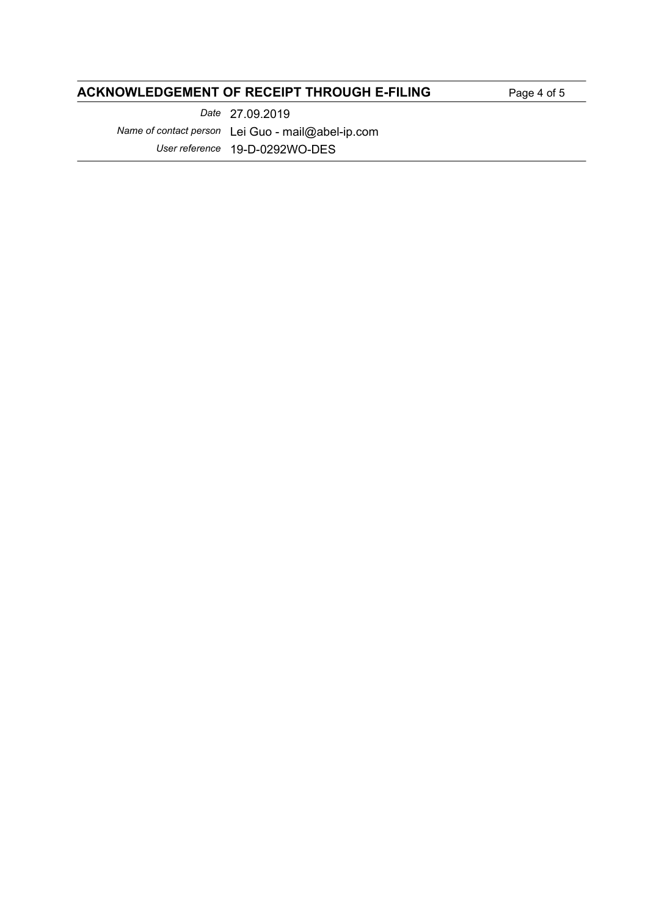# **ACKNOWLEDGEMENT OF RECEIPT THROUGH E-FILING** Page 4 of 5

*Date* 27.09.2019 *Name of contact person* Lei Guo - mail@abel-ip.com *User reference* 19-D-0292WO-DES